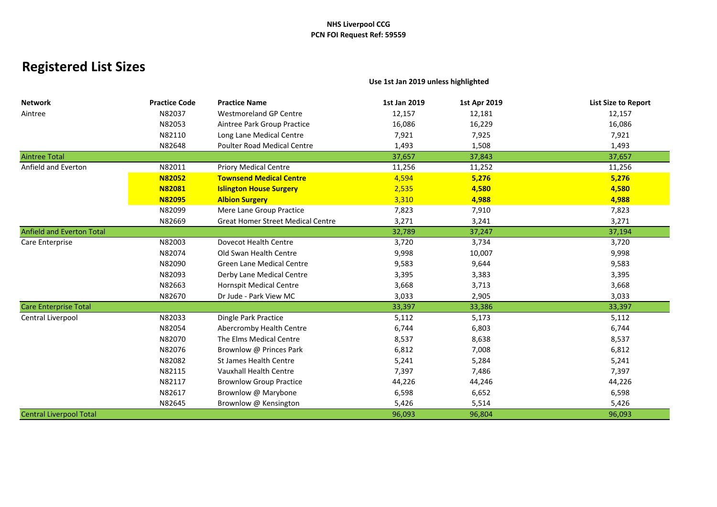# **Registered List Sizes**

**Use 1st Jan 2019 unless highlighted**

| <b>Network</b>                   | <b>Practice Code</b> | <b>Practice Name</b>                     | 1st Jan 2019 | 1st Apr 2019 | <b>List Size to Report</b> |
|----------------------------------|----------------------|------------------------------------------|--------------|--------------|----------------------------|
| Aintree                          | N82037               | <b>Westmoreland GP Centre</b>            | 12,157       | 12,181       | 12,157                     |
|                                  | N82053               | Aintree Park Group Practice              | 16,086       | 16,229       | 16,086                     |
|                                  | N82110               | Long Lane Medical Centre                 | 7,921        | 7,925        | 7,921                      |
|                                  | N82648               | <b>Poulter Road Medical Centre</b>       | 1,493        | 1,508        | 1,493                      |
| <b>Aintree Total</b>             |                      |                                          | 37,657       | 37,843       | 37,657                     |
| Anfield and Everton              | N82011               | <b>Priory Medical Centre</b>             | 11,256       | 11,252       | 11,256                     |
|                                  | <b>N82052</b>        | <b>Townsend Medical Centre</b>           | 4,594        | 5,276        | 5,276                      |
|                                  | <b>N82081</b>        | <b>Islington House Surgery</b>           | 2,535        | 4,580        | 4,580                      |
|                                  | <b>N82095</b>        | <b>Albion Surgery</b>                    | 3,310        | 4,988        | 4,988                      |
|                                  | N82099               | Mere Lane Group Practice                 | 7,823        | 7,910        | 7,823                      |
|                                  | N82669               | <b>Great Homer Street Medical Centre</b> | 3,271        | 3,241        | 3,271                      |
| <b>Anfield and Everton Total</b> |                      |                                          | 32,789       | 37,247       | 37,194                     |
| Care Enterprise                  | N82003               | Dovecot Health Centre                    | 3,720        | 3,734        | 3,720                      |
|                                  | N82074               | Old Swan Health Centre                   | 9,998        | 10,007       | 9,998                      |
|                                  | N82090               | <b>Green Lane Medical Centre</b>         | 9,583        | 9,644        | 9,583                      |
|                                  | N82093               | Derby Lane Medical Centre                | 3,395        | 3,383        | 3,395                      |
|                                  | N82663               | <b>Hornspit Medical Centre</b>           | 3,668        | 3,713        | 3,668                      |
|                                  | N82670               | Dr Jude - Park View MC                   | 3,033        | 2,905        | 3,033                      |
| <b>Care Enterprise Total</b>     |                      |                                          | 33,397       | 33,386       | 33,397                     |
| Central Liverpool                | N82033               | Dingle Park Practice                     | 5,112        | 5,173        | 5,112                      |
|                                  | N82054               | Abercromby Health Centre                 | 6,744        | 6,803        | 6,744                      |
|                                  | N82070               | The Elms Medical Centre                  | 8,537        | 8,638        | 8,537                      |
|                                  | N82076               | Brownlow @ Princes Park                  | 6,812        | 7,008        | 6,812                      |
|                                  | N82082               | <b>St James Health Centre</b>            | 5,241        | 5,284        | 5,241                      |
|                                  | N82115               | Vauxhall Health Centre                   | 7,397        | 7,486        | 7,397                      |
|                                  | N82117               | <b>Brownlow Group Practice</b>           | 44,226       | 44,246       | 44,226                     |
|                                  | N82617               | Brownlow @ Marybone                      | 6,598        | 6,652        | 6,598                      |
|                                  | N82645               | Brownlow @ Kensington                    | 5,426        | 5,514        | 5,426                      |
| <b>Central Liverpool Total</b>   |                      |                                          | 96,093       | 96,804       | 96,093                     |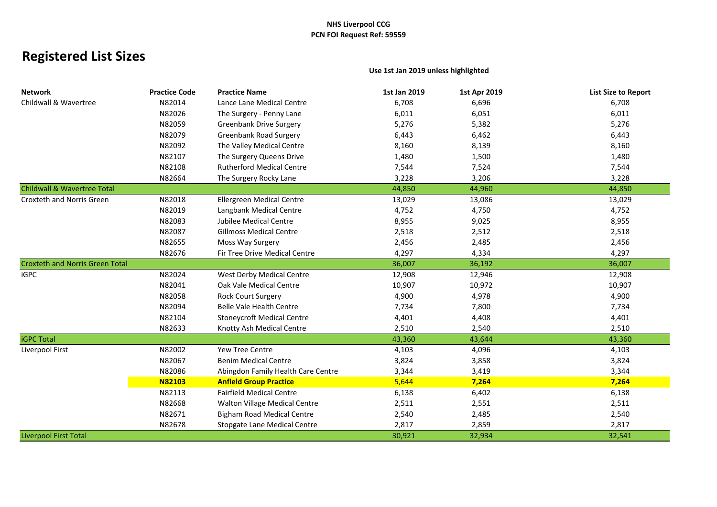# **Registered List Sizes**

### **Use 1st Jan 2019 unless highlighted**

| <b>Network</b>                         | <b>Practice Code</b> | <b>Practice Name</b>                 | 1st Jan 2019 | 1st Apr 2019 | <b>List Size to Report</b> |
|----------------------------------------|----------------------|--------------------------------------|--------------|--------------|----------------------------|
| Childwall & Wavertree                  | N82014               | Lance Lane Medical Centre            | 6,708        | 6,696        | 6,708                      |
|                                        | N82026               | The Surgery - Penny Lane             | 6,011        | 6,051        | 6,011                      |
|                                        | N82059               | <b>Greenbank Drive Surgery</b>       | 5,276        | 5,382        | 5,276                      |
|                                        | N82079               | <b>Greenbank Road Surgery</b>        | 6,443        | 6,462        | 6,443                      |
|                                        | N82092               | The Valley Medical Centre            | 8,160        | 8,139        | 8,160                      |
|                                        | N82107               | The Surgery Queens Drive             | 1,480        | 1,500        | 1,480                      |
|                                        | N82108               | <b>Rutherford Medical Centre</b>     | 7,544        | 7,524        | 7,544                      |
|                                        | N82664               | The Surgery Rocky Lane               | 3,228        | 3,206        | 3,228                      |
| <b>Childwall &amp; Wavertree Total</b> |                      |                                      | 44,850       | 44,960       | 44,850                     |
| Croxteth and Norris Green              | N82018               | Ellergreen Medical Centre            | 13,029       | 13,086       | 13,029                     |
|                                        | N82019               | Langbank Medical Centre              | 4,752        | 4,750        | 4,752                      |
|                                        | N82083               | Jubilee Medical Centre               | 8,955        | 9,025        | 8,955                      |
|                                        | N82087               | <b>Gillmoss Medical Centre</b>       | 2,518        | 2,512        | 2,518                      |
|                                        | N82655               | Moss Way Surgery                     | 2,456        | 2,485        | 2,456                      |
|                                        | N82676               | Fir Tree Drive Medical Centre        | 4,297        | 4,334        | 4,297                      |
| <b>Croxteth and Norris Green Total</b> |                      |                                      | 36,007       | 36,192       | 36,007                     |
| <b>iGPC</b>                            | N82024               | West Derby Medical Centre            | 12,908       | 12,946       | 12,908                     |
|                                        | N82041               | Oak Vale Medical Centre              | 10,907       | 10,972       | 10,907                     |
|                                        | N82058               | <b>Rock Court Surgery</b>            | 4,900        | 4,978        | 4,900                      |
|                                        | N82094               | <b>Belle Vale Health Centre</b>      | 7,734        | 7,800        | 7,734                      |
|                                        | N82104               | <b>Stoneycroft Medical Centre</b>    | 4,401        | 4,408        | 4,401                      |
|                                        | N82633               | Knotty Ash Medical Centre            | 2,510        | 2,540        | 2,510                      |
| <b>iGPC Total</b>                      |                      |                                      | 43,360       | 43,644       | 43,360                     |
| Liverpool First                        | N82002               | <b>Yew Tree Centre</b>               | 4,103        | 4,096        | 4,103                      |
|                                        | N82067               | <b>Benim Medical Centre</b>          | 3,824        | 3,858        | 3,824                      |
|                                        | N82086               | Abingdon Family Health Care Centre   | 3,344        | 3,419        | 3,344                      |
|                                        | <b>N82103</b>        | <b>Anfield Group Practice</b>        | 5,644        | 7,264        | 7,264                      |
|                                        | N82113               | <b>Fairfield Medical Centre</b>      | 6,138        | 6,402        | 6,138                      |
|                                        | N82668               | <b>Walton Village Medical Centre</b> | 2,511        | 2,551        | 2,511                      |
|                                        | N82671               | <b>Bigham Road Medical Centre</b>    | 2,540        | 2,485        | 2,540                      |
|                                        | N82678               | Stopgate Lane Medical Centre         | 2,817        | 2,859        | 2,817                      |
| <b>Liverpool First Total</b>           |                      |                                      | 30,921       | 32,934       | 32,541                     |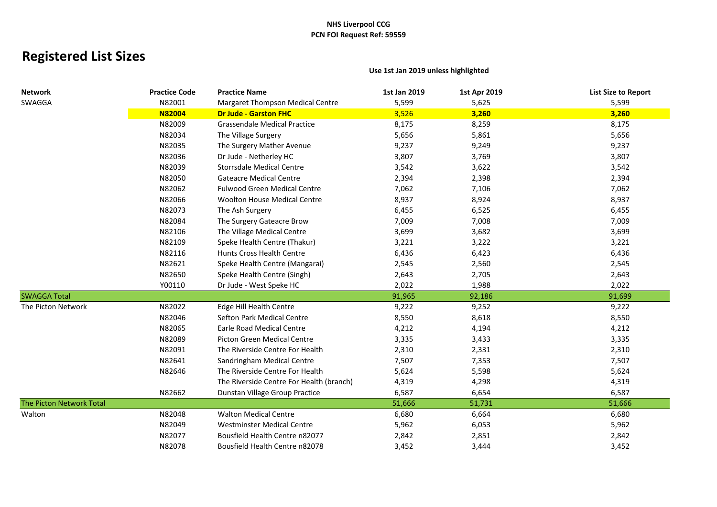# **Registered List Sizes**

## **Network Practice Code Practice Name 1st Jan 2019 1st Apr 2019 List Size to Report** SWAGGA N82001 Margaret Thompson Medical Centre 5,599 5,625 5,599 **N82004 Dr Jude - Garston FHC** 3,526 **3,260 3,260** N82009 Grassendale Medical Practice 8,175 8,259 8,175 N82034 The Village Surgery 6.656 5,656 5,656 5,861 5,656 5,656 5,861 N82035 The Surgery Mather Avenue 19,237 9,237 9,249 9,237 9,249 N82036 Dr Jude - Netherley HC 3.807 3.807 3.769 3.807 3.807 N82039 Storrsdale Medical Centre 3,542 3,622 3,542 N82050 Gateacre Medical Centre 2,394 2,398 2,394 N82062 Fulwood Green Medical Centre 7,062 7,062 7,106 7,062 7,062 N82066 Woolton House Medical Centre 68,937 8,937 8,924 8,937 N82073 The Ash Surgery 6,455 6,525 6,455 N82084 The Surgery Gateacre Brow 7,009 7,009 7,008 7,008 7,009 7,009 N82106 The Village Medical Centre 2008 3,699 3,699 3,682 3,699 3,699 3,699 N82109 Speke Health Centre (Thakur) 3,221 3,222 3,221 N82116 Hunts Cross Health Centre 6,436 6,436 6,423 6,436 6,436 N82621 Speke Health Centre (Mangarai) 2,545 2,560 2,545 N82650 Speke Health Centre (Singh) 2,643 2,705 2,643 Y00110 Dr Jude - West Speke HC 2,022 1,988 2,022 SWAGGA Total 91,965 92,186 91,699 The Picton Network **N82022** Edge Hill Health Centre **NBS** 9,222 9,252 9,252 9,252 9,252 N82046 Sefton Park Medical Centre 68,550 8,550 8,618 8,550 8,550 8,550 N82065 Earle Road Medical Centre 4,212 4,194 4,212 N82089 Picton Green Medical Centre 2008 3,335 3,335 3,335 3,335 3,335 N82091 The Riverside Centre For Health 2,310 2,331 2,310 N82641 Sandringham Medical Centre 27,507 7,507 7,353 7,507 7,353 N82646 The Riverside Centre For Health 5,624 5,624 5,598 5,624 5,624 The Riverside Centre For Health (branch)  $4,319$   $4,298$   $4,319$   $4,319$ N82662 Dunstan Village Group Practice 6,587 6,587 6,654 6,587 6,587 6,587 The Picton Network Total 51,666 51,731 51,666 51,731 51,666 51,731 51,666 51,731 51,666 51,731 51,666 51,731 51,666 51,731 51,666 51,731 51,666 51,731 51,666 51,731 51,666 51,731 51,666 51,731 51,666 51,731 51,666 51,731 5 Walton N82048 Walton Medical Centre 6,680 6,664 6,680 N82049 Westminster Medical Centre 6,962 6,053 6,962 5,962 N82077 Bousfield Health Centre n82077 2,842 2,851 2,842 N82078 Bousfield Health Centre n82078 3.452 3.452 3,444 3,452

#### **Use 1st Jan 2019 unless highlighted**